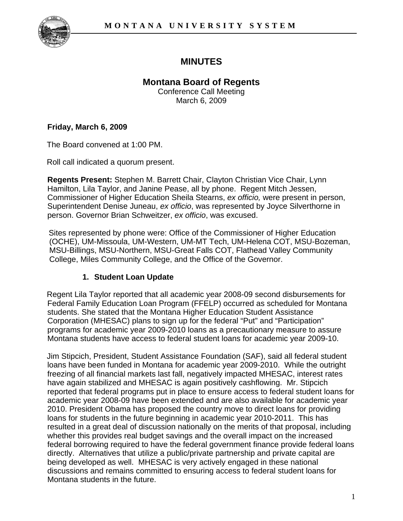

# **MINUTES**

## **Montana Board of Regents**

Conference Call Meeting March 6, 2009

#### **Friday, March 6, 2009**

The Board convened at 1:00 PM.

Roll call indicated a quorum present.

**Regents Present:** Stephen M. Barrett Chair, Clayton Christian Vice Chair, Lynn Hamilton, Lila Taylor, and Janine Pease, all by phone. Regent Mitch Jessen, Commissioner of Higher Education Sheila Stearns, *ex officio,* were present in person, Superintendent Denise Juneau, *ex officio*, was represented by Joyce Silverthorne in person. Governor Brian Schweitzer, *ex officio*, was excused.

Sites represented by phone were: Office of the Commissioner of Higher Education (OCHE), UM-Missoula, UM-Western, UM-MT Tech, UM-Helena COT, MSU-Bozeman, MSU-Billings, MSU-Northern, MSU-Great Falls COT, Flathead Valley Community College, Miles Community College, and the Office of the Governor.

## **1. Student Loan Update**

Regent Lila Taylor reported that all academic year 2008-09 second disbursements for Federal Family Education Loan Program (FFELP) occurred as scheduled for Montana students. She stated that the Montana Higher Education Student Assistance Corporation (MHESAC) plans to sign up for the federal "Put" and "Participation" programs for academic year 2009-2010 loans as a precautionary measure to assure Montana students have access to federal student loans for academic year 2009-10.

Jim Stipcich, President, Student Assistance Foundation (SAF), said all federal student loans have been funded in Montana for academic year 2009-2010. While the outright freezing of all financial markets last fall, negatively impacted MHESAC, interest rates have again stabilized and MHESAC is again positively cashflowing. Mr. Stipcich reported that federal programs put in place to ensure access to federal student loans for academic year 2008-09 have been extended and are also available for academic year 2010. President Obama has proposed the country move to direct loans for providing loans for students in the future beginning in academic year 2010-2011. This has resulted in a great deal of discussion nationally on the merits of that proposal, including whether this provides real budget savings and the overall impact on the increased federal borrowing required to have the federal government finance provide federal loans directly. Alternatives that utilize a public/private partnership and private capital are being developed as well. MHESAC is very actively engaged in these national discussions and remains committed to ensuring access to federal student loans for Montana students in the future.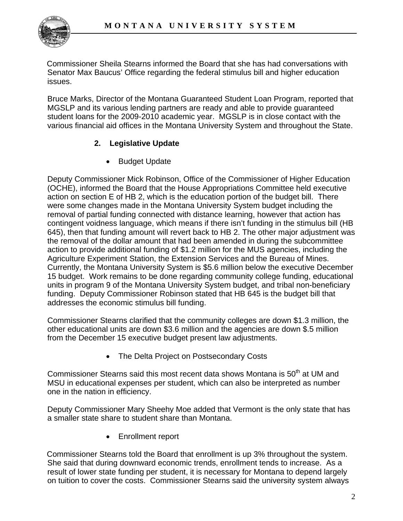

Commissioner Sheila Stearns informed the Board that she has had conversations with Senator Max Baucus' Office regarding the federal stimulus bill and higher education issues.

Bruce Marks, Director of the Montana Guaranteed Student Loan Program, reported that MGSLP and its various lending partners are ready and able to provide guaranteed student loans for the 2009-2010 academic year. MGSLP is in close contact with the various financial aid offices in the Montana University System and throughout the State.

## **2. Legislative Update**

• Budget Update

Deputy Commissioner Mick Robinson, Office of the Commissioner of Higher Education (OCHE), informed the Board that the House Appropriations Committee held executive action on section E of HB 2, which is the education portion of the budget bill. There were some changes made in the Montana University System budget including the removal of partial funding connected with distance learning, however that action has contingent voidness language, which means if there isn't funding in the stimulus bill (HB 645), then that funding amount will revert back to HB 2. The other major adjustment was the removal of the dollar amount that had been amended in during the subcommittee action to provide additional funding of \$1.2 million for the MUS agencies, including the Agriculture Experiment Station, the Extension Services and the Bureau of Mines. Currently, the Montana University System is \$5.6 million below the executive December 15 budget. Work remains to be done regarding community college funding, educational units in program 9 of the Montana University System budget, and tribal non-beneficiary funding. Deputy Commissioner Robinson stated that HB 645 is the budget bill that addresses the economic stimulus bill funding.

Commissioner Stearns clarified that the community colleges are down \$1.3 million, the other educational units are down \$3.6 million and the agencies are down \$.5 million from the December 15 executive budget present law adjustments.

• The Delta Project on Postsecondary Costs

Commissioner Stearns said this most recent data shows Montana is 50<sup>th</sup> at UM and MSU in educational expenses per student, which can also be interpreted as number one in the nation in efficiency.

Deputy Commissioner Mary Sheehy Moe added that Vermont is the only state that has a smaller state share to student share than Montana.

• Enrollment report

Commissioner Stearns told the Board that enrollment is up 3% throughout the system. She said that during downward economic trends, enrollment tends to increase. As a result of lower state funding per student, it is necessary for Montana to depend largely on tuition to cover the costs. Commissioner Stearns said the university system always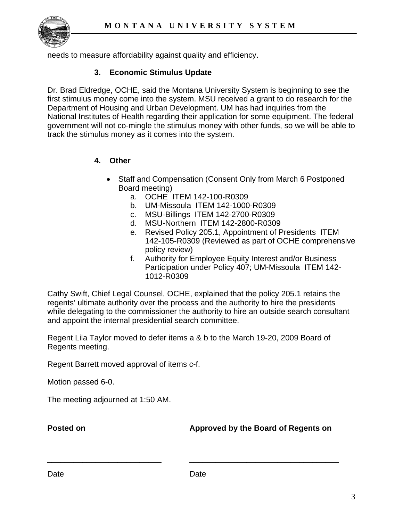

needs to measure affordability against quality and efficiency.

#### **3. Economic Stimulus Update**

Dr. Brad Eldredge, OCHE, said the Montana University System is beginning to see the first stimulus money come into the system. MSU received a grant to do research for the Department of Housing and Urban Development. UM has had inquiries from the National Institutes of Health regarding their application for some equipment. The federal government will not co-mingle the stimulus money with other funds, so we will be able to track the stimulus money as it comes into the system.

#### **4. Other**

- Staff and Compensation (Consent Only from March 6 Postponed Board meeting)
	- a. OCHE ITEM 142-100-R0309
	- b. UM-Missoula ITEM 142-1000-R0309
	- c. MSU-Billings ITEM 142-2700-R0309
	- d. MSU-Northern ITEM 142-2800-R0309
	- e. Revised Policy 205.1, Appointment of Presidents ITEM 142-105-R0309 (Reviewed as part of OCHE comprehensive policy review)
	- f. Authority for Employee Equity Interest and/or Business Participation under Policy 407; UM-Missoula ITEM 142- 1012-R0309

Cathy Swift, Chief Legal Counsel, OCHE, explained that the policy 205.1 retains the regents' ultimate authority over the process and the authority to hire the presidents while delegating to the commissioner the authority to hire an outside search consultant and appoint the internal presidential search committee.

Regent Lila Taylor moved to defer items a & b to the March 19-20, 2009 Board of Regents meeting.

Regent Barrett moved approval of items c-f.

Motion passed 6-0.

The meeting adjourned at 1:50 AM.

**Posted on Approved by the Board of Regents on** 

\_\_\_\_\_\_\_\_\_\_\_\_\_\_\_\_\_\_\_\_\_\_\_\_\_\_ \_\_\_\_\_\_\_\_\_\_\_\_\_\_\_\_\_\_\_\_\_\_\_\_\_\_\_\_\_\_\_\_\_\_